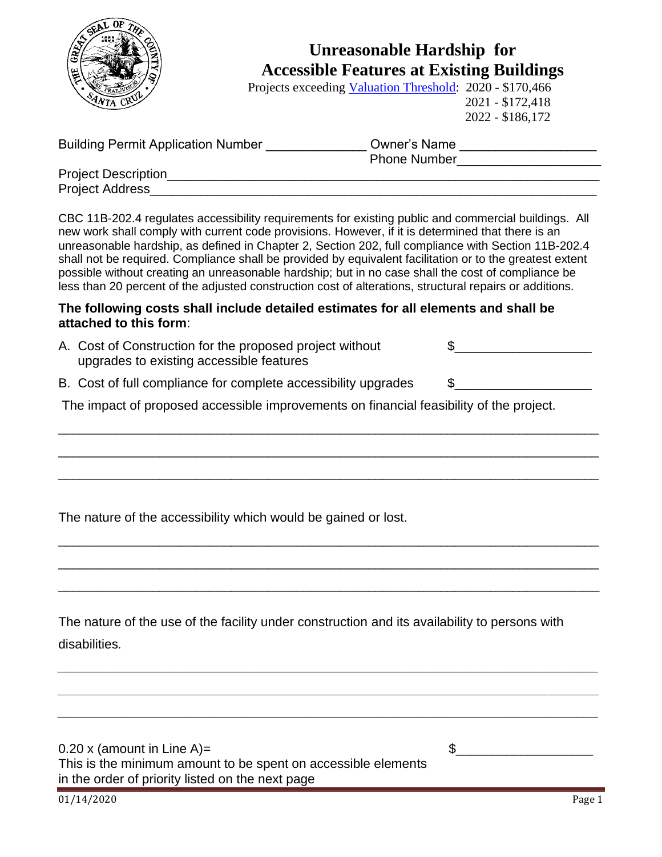

## **Unreasonable Hardship for Accessible Features at Existing Buildings**

Projects exceeding [Valuation Threshold:](https://www.dgs.ca.gov/DSA/Resources/Page-Content/Resources-List-Folder/Access-Compliance-Reference-Materials#@ViewBag.JumpTo) 2020 - \$170,466 2021 - \$172,418 2022 - \$186,172

| <b>Building Permit Application Number</b> | <b>Owner's Name</b> |  |
|-------------------------------------------|---------------------|--|
|                                           | <b>Phone Number</b> |  |
| <b>Project Description</b>                |                     |  |
| Project Address                           |                     |  |

CBC 11B-202.4 regulates accessibility requirements for existing public and commercial buildings. All new work shall comply with current code provisions. However, if it is determined that there is an unreasonable hardship, as defined in Chapter 2, Section 202, full compliance with Section 11B-202.4 shall not be required. Compliance shall be provided by equivalent facilitation or to the greatest extent possible without creating an unreasonable hardship; but in no case shall the cost of compliance be less than 20 percent of the adjusted construction cost of alterations, structural repairs or additions.

## **The following costs shall include detailed estimates for all elements and shall be attached to this form**:

- A. Cost of Construction for the proposed project without  $\qquad \qquad \$ upgrades to existing accessible features
- B. Cost of full compliance for complete accessibility upgrades  $\qquad \quad \text{\$}$

\_\_\_\_\_\_\_\_\_\_\_\_\_\_\_\_\_\_\_\_\_\_\_\_\_\_\_\_\_\_\_\_\_\_\_\_\_\_\_\_\_\_\_\_\_\_\_\_\_\_\_\_\_\_\_\_\_\_\_\_\_\_\_\_\_\_\_\_\_\_\_\_\_\_\_

\_\_\_\_\_\_\_\_\_\_\_\_\_\_\_\_\_\_\_\_\_\_\_\_\_\_\_\_\_\_\_\_\_\_\_\_\_\_\_\_\_\_\_\_\_\_\_\_\_\_\_\_\_\_\_\_\_\_\_\_\_\_\_\_\_\_\_\_\_\_\_\_\_\_\_

\_\_\_\_\_\_\_\_\_\_\_\_\_\_\_\_\_\_\_\_\_\_\_\_\_\_\_\_\_\_\_\_\_\_\_\_\_\_\_\_\_\_\_\_\_\_\_\_\_\_\_\_\_\_\_\_\_\_\_\_\_\_\_\_\_\_\_\_\_\_\_\_\_\_\_

\_\_\_\_\_\_\_\_\_\_\_\_\_\_\_\_\_\_\_\_\_\_\_\_\_\_\_\_\_\_\_\_\_\_\_\_\_\_\_\_\_\_\_\_\_\_\_\_\_\_\_\_\_\_\_\_\_\_\_\_\_\_\_\_\_\_\_\_\_\_\_\_\_\_\_

\_\_\_\_\_\_\_\_\_\_\_\_\_\_\_\_\_\_\_\_\_\_\_\_\_\_\_\_\_\_\_\_\_\_\_\_\_\_\_\_\_\_\_\_\_\_\_\_\_\_\_\_\_\_\_\_\_\_\_\_\_\_\_\_\_\_\_\_\_\_\_\_\_\_\_

\_\_\_\_\_\_\_\_\_\_\_\_\_\_\_\_\_\_\_\_\_\_\_\_\_\_\_\_\_\_\_\_\_\_\_\_\_\_\_\_\_\_\_\_\_\_\_\_\_\_\_\_\_\_\_\_\_\_\_\_\_\_\_\_\_\_\_\_\_\_\_\_\_\_\_

*\_\_\_\_\_\_\_\_\_\_\_\_\_\_\_\_\_\_\_\_\_\_\_\_\_\_\_\_\_\_\_\_\_\_\_\_\_\_\_\_\_\_\_\_\_\_\_\_\_\_\_\_\_\_\_\_\_\_\_\_\_\_\_\_\_\_\_\_\_\_\_\_\_\_\_*

*\_\_\_\_\_\_\_\_\_\_\_\_\_\_\_\_\_\_\_\_\_\_\_\_\_\_\_\_\_\_\_\_\_\_\_\_\_\_\_\_\_\_\_\_\_\_\_\_\_\_\_\_\_\_\_\_\_\_\_\_\_\_\_\_\_\_\_\_\_\_\_\_\_\_\_*

*\_\_\_\_\_\_\_\_\_\_\_\_\_\_\_\_\_\_\_\_\_\_\_\_\_\_\_\_\_\_\_\_\_\_\_\_\_\_\_\_\_\_\_\_\_\_\_\_\_\_\_\_\_\_\_\_\_\_\_\_\_\_\_\_\_\_\_\_\_\_\_\_\_\_\_*

The impact of proposed accessible improvements on financial feasibility of the project.

The nature of the accessibility which would be gained or lost.

The nature of the use of the facility under construction and its availability to persons with disabilities*.*

0.20 x (amount in Line A)=  $\qquad \qquad$ This is the minimum amount to be spent on accessible elements in the order of priority listed on the next page

01/14/2020 Page 1